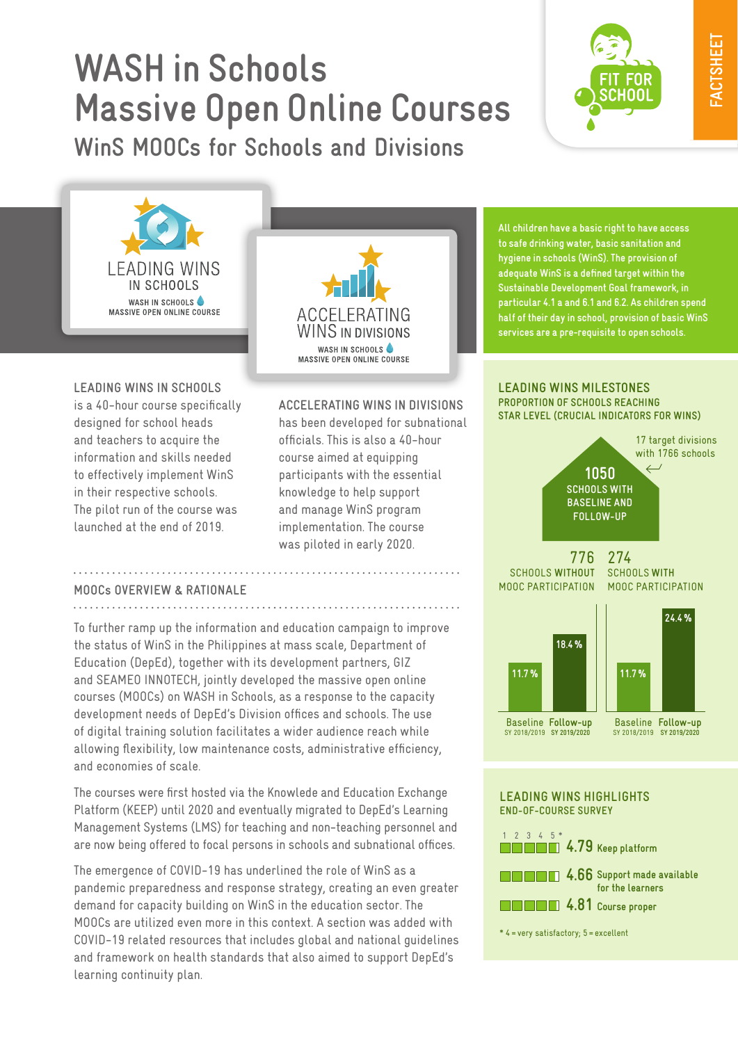# **WASH in Schools Massive Open Online Courses**

**WinS MOOCs for Schools and Divisions**





**Leading WinS in Schools** is a 40-hour course specifically designed for school heads and teachers to acquire the information and skills needed to effectively implement WinS in their respective schools. The pilot run of the course was launched at the end of 2019.



**Accelerating WinS in Divisions**

has been developed for subnational officials. This is also a 40-hour course aimed at equipping participants with the essential knowledge to help support and manage WinS program implementation. The course was piloted in early 2020.

**All children have a basic right to have access to safe drinking water, basic sanitation and hygiene in schools (WinS). The provision of adequate WinS is a defined target within the Sustainable Development Goal framework, in particular 4.1 a and 6.1 and 6.2. As children spend half of their day in school, provision of basic WinS services are a pre-requisite to open schools.** 

#### **Leading Wins Milestones Proportion of Schools Reaching Star Level (Crucial Indicators for WINS)**



### **MOOCs Overview & Rationale**

To further ramp up the information and education campaign to improve the status of WinS in the Philippines at mass scale, Department of Education (DepEd), together with its development partners, GIZ and SEAMEO INNOTECH, jointly developed the massive open online courses (MOOCs) on WASH in Schools, as a response to the capacity development needs of DepEd's Division offices and schools. The use of digital training solution facilitates a wider audience reach while allowing flexibility, low maintenance costs, administrative efficiency, and economies of scale.

The courses were first hosted via the Knowlede and Education Exchange Platform (KEEP) until 2020 and eventually migrated to DepEd's Learning Management Systems (LMS) for teaching and non-teaching personnel and are now being offered to focal persons in schools and subnational offices.

The emergence of COVID-19 has underlined the role of WinS as a pandemic preparedness and response strategy, creating an even greater demand for capacity building on WinS in the education sector. The MOOCs are utilized even more in this context. A section was added with COVID-19 related resources that includes global and national guidelines and framework on health standards that also aimed to support DepEd's learning continuity plan.

### **Leading Wins HIghlights End-of-Course Survey**



\* 4=very satisfactory; 5=excellent